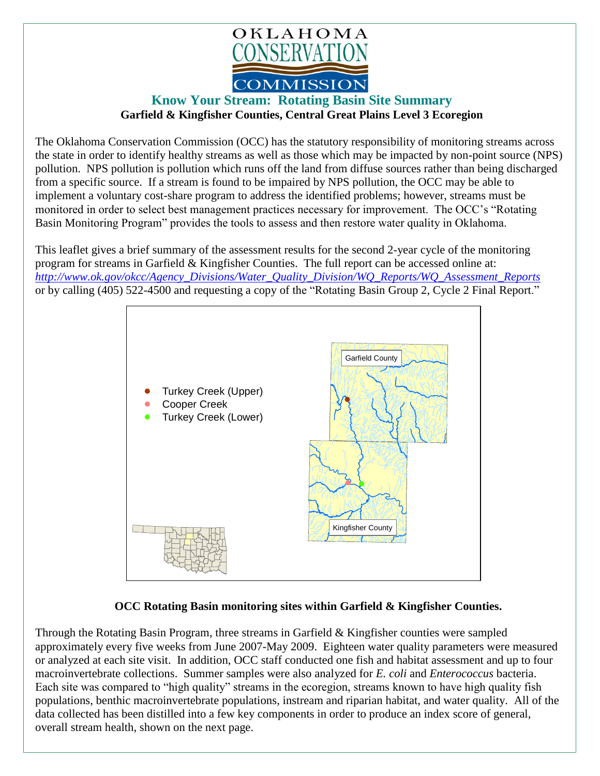

## **Know Your Stream: Rotating Basin Site Summary Garfield & Kingfisher Counties, Central Great Plains Level 3 Ecoregion**

The Oklahoma Conservation Commission (OCC) has the statutory responsibility of monitoring streams across the state in order to identify healthy streams as well as those which may be impacted by non-point source (NPS) pollution. NPS pollution is pollution which runs off the land from diffuse sources rather than being discharged from a specific source. If a stream is found to be impaired by NPS pollution, the OCC may be able to implement a voluntary cost-share program to address the identified problems; however, streams must be monitored in order to select best management practices necessary for improvement. The OCC's "Rotating Basin Monitoring Program" provides the tools to assess and then restore water quality in Oklahoma.

This leaflet gives a brief summary of the assessment results for the second 2-year cycle of the monitoring program for streams in Garfield & Kingfisher Counties. The full report can be accessed online at: *[http://www.ok.gov/okcc/Agency\\_Divisions/Water\\_Quality\\_Division/WQ\\_Reports/WQ\\_Assessment\\_Reports](http://www.ok.gov/okcc/Agency_Divisions/Water_Quality_Division/WQ_Reports/WQ_Assessment_Reports)* or by calling (405) 522-4500 and requesting a copy of the "Rotating Basin Group 2, Cycle 2 Final Report."



## **OCC Rotating Basin monitoring sites within Garfield & Kingfisher Counties.**

Through the Rotating Basin Program, three streams in Garfield & Kingfisher counties were sampled approximately every five weeks from June 2007-May 2009. Eighteen water quality parameters were measured or analyzed at each site visit. In addition, OCC staff conducted one fish and habitat assessment and up to four macroinvertebrate collections. Summer samples were also analyzed for *E. coli* and *Enterococcus* bacteria. Each site was compared to "high quality" streams in the ecoregion, streams known to have high quality fish populations, benthic macroinvertebrate populations, instream and riparian habitat, and water quality. All of the data collected has been distilled into a few key components in order to produce an index score of general, overall stream health, shown on the next page.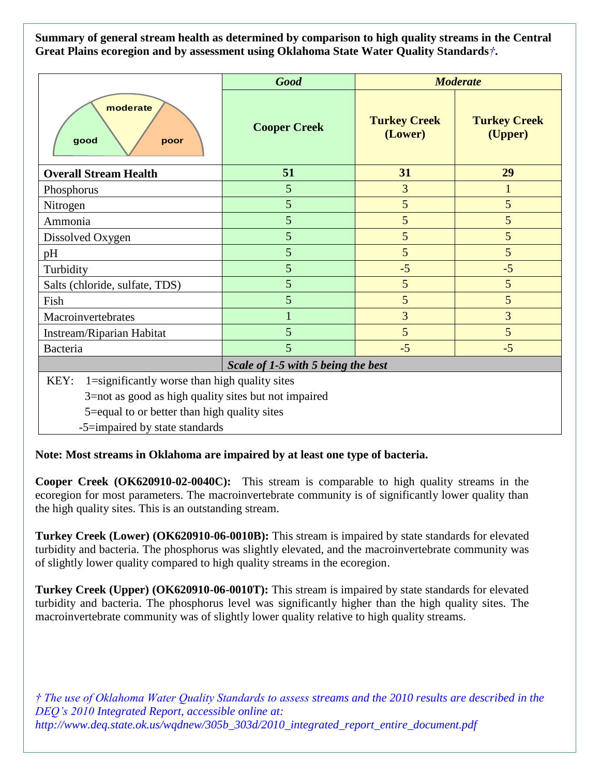**Summary of general stream health as determined by comparison to high quality streams in the Central Great Plains ecoregion and by assessment using Oklahoma State Water Quality Standards***†***.**

|                                                                                                                                                               | <b>Good</b>         | <b>Moderate</b>                |                                |
|---------------------------------------------------------------------------------------------------------------------------------------------------------------|---------------------|--------------------------------|--------------------------------|
| moderate<br>good<br>poor                                                                                                                                      | <b>Cooper Creek</b> | <b>Turkey Creek</b><br>(Lower) | <b>Turkey Creek</b><br>(Upper) |
| <b>Overall Stream Health</b>                                                                                                                                  | 51                  | 31                             | 29                             |
| Phosphorus                                                                                                                                                    | 5                   | 3                              |                                |
| Nitrogen                                                                                                                                                      | 5                   | 5                              | 5                              |
| Ammonia                                                                                                                                                       | 5                   | 5                              | 5                              |
| Dissolved Oxygen                                                                                                                                              | 5                   | 5                              | 5                              |
| pH                                                                                                                                                            | 5                   | 5                              | 5                              |
| Turbidity                                                                                                                                                     | 5                   | $-5$                           | $-5$                           |
| Salts (chloride, sulfate, TDS)                                                                                                                                | 5                   | 5                              | 5                              |
| Fish                                                                                                                                                          | 5                   | 5                              | 5                              |
| Macroinvertebrates                                                                                                                                            |                     | 3                              | 3                              |
| Instream/Riparian Habitat                                                                                                                                     | 5                   | 5                              | 5                              |
| Bacteria                                                                                                                                                      | 5                   | $-5$                           | $-5$                           |
| Scale of 1-5 with 5 being the best                                                                                                                            |                     |                                |                                |
| 1=significantly worse than high quality sites<br>KEY:<br>3=not as good as high quality sites but not impaired<br>5=equal to or better than high quality sites |                     |                                |                                |
| -5=impaired by state standards                                                                                                                                |                     |                                |                                |

## **Note: Most streams in Oklahoma are impaired by at least one type of bacteria.**

**Cooper Creek (OK620910-02-0040C):** This stream is comparable to high quality streams in the ecoregion for most parameters. The macroinvertebrate community is of significantly lower quality than the high quality sites. This is an outstanding stream.

**Turkey Creek (Lower) (OK620910-06-0010B):** This stream is impaired by state standards for elevated turbidity and bacteria. The phosphorus was slightly elevated, and the macroinvertebrate community was of slightly lower quality compared to high quality streams in the ecoregion.

**Turkey Creek (Upper) (OK620910-06-0010T):** This stream is impaired by state standards for elevated turbidity and bacteria. The phosphorus level was significantly higher than the high quality sites. The macroinvertebrate community was of slightly lower quality relative to high quality streams.

*† The use of Oklahoma Water Quality Standards to assess streams and the 2010 results are described in the DEQ's 2010 Integrated Report, accessible online at: http://www.deq.state.ok.us/wqdnew/305b\_303d/2010\_integrated\_report\_entire\_document.pdf*